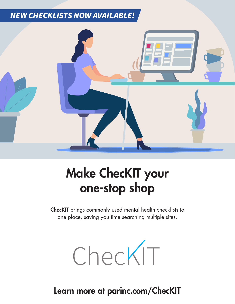# *NEW CHECKLISTS NOW AVAILABLE!*



# Make ChecKIT your one-stop shop

ChecKIT brings commonly used mental health checklists to one place, saving you time searching multiple sites.



Learn more at parinc.com/ChecKIT